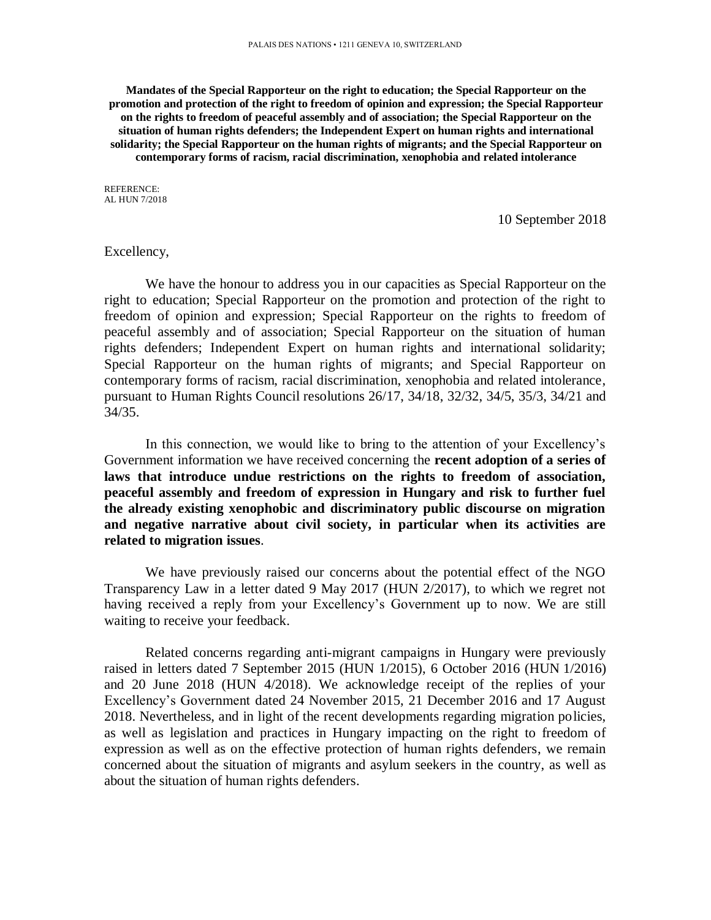**Mandates of the Special Rapporteur on the right to education; the Special Rapporteur on the promotion and protection of the right to freedom of opinion and expression; the Special Rapporteur on the rights to freedom of peaceful assembly and of association; the Special Rapporteur on the situation of human rights defenders; the Independent Expert on human rights and international solidarity; the Special Rapporteur on the human rights of migrants; and the Special Rapporteur on contemporary forms of racism, racial discrimination, xenophobia and related intolerance**

REFERENCE: AL HUN 7/2018

10 September 2018

### Excellency,

We have the honour to address you in our capacities as Special Rapporteur on the right to education; Special Rapporteur on the promotion and protection of the right to freedom of opinion and expression; Special Rapporteur on the rights to freedom of peaceful assembly and of association; Special Rapporteur on the situation of human rights defenders; Independent Expert on human rights and international solidarity; Special Rapporteur on the human rights of migrants; and Special Rapporteur on contemporary forms of racism, racial discrimination, xenophobia and related intolerance, pursuant to Human Rights Council resolutions 26/17, 34/18, 32/32, 34/5, 35/3, 34/21 and 34/35.

In this connection, we would like to bring to the attention of your Excellency's Government information we have received concerning the **recent adoption of a series of laws that introduce undue restrictions on the rights to freedom of association, peaceful assembly and freedom of expression in Hungary and risk to further fuel the already existing xenophobic and discriminatory public discourse on migration and negative narrative about civil society, in particular when its activities are related to migration issues**.

We have previously raised our concerns about the potential effect of the NGO Transparency Law in a letter dated 9 May 2017 (HUN 2/2017), to which we regret not having received a reply from your Excellency's Government up to now. We are still waiting to receive your feedback.

Related concerns regarding anti-migrant campaigns in Hungary were previously raised in letters dated 7 September 2015 (HUN 1/2015), 6 October 2016 (HUN 1/2016) and 20 June 2018 (HUN 4/2018). We acknowledge receipt of the replies of your Excellency's Government dated 24 November 2015, 21 December 2016 and 17 August 2018. Nevertheless, and in light of the recent developments regarding migration policies, as well as legislation and practices in Hungary impacting on the right to freedom of expression as well as on the effective protection of human rights defenders, we remain concerned about the situation of migrants and asylum seekers in the country, as well as about the situation of human rights defenders.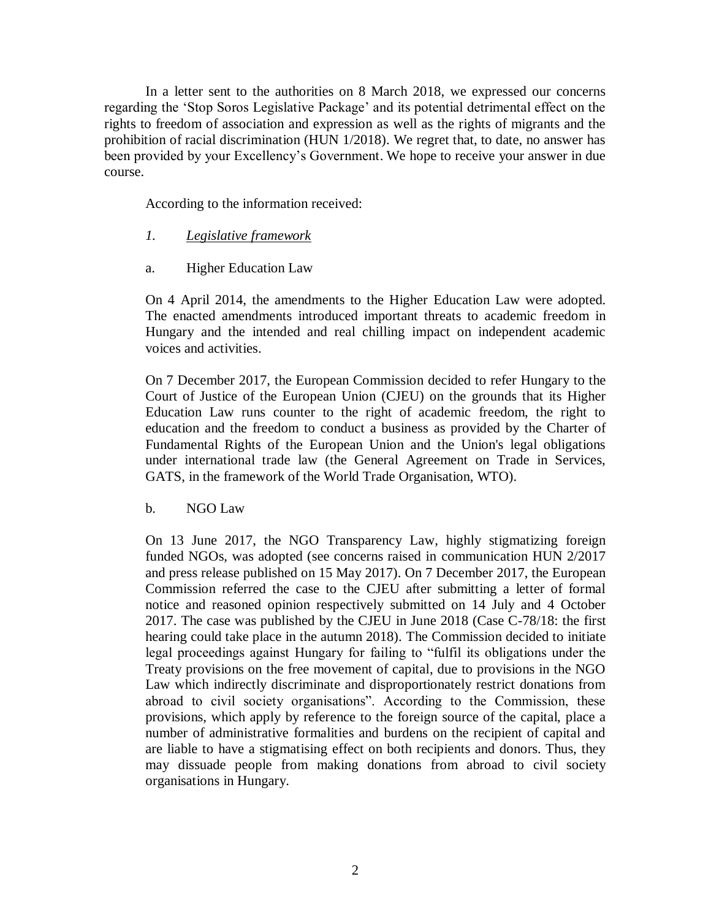In a letter sent to the authorities on 8 March 2018, we expressed our concerns regarding the 'Stop Soros Legislative Package' and its potential detrimental effect on the rights to freedom of association and expression as well as the rights of migrants and the prohibition of racial discrimination (HUN 1/2018). We regret that, to date, no answer has been provided by your Excellency's Government. We hope to receive your answer in due course.

According to the information received:

- *1. Legislative framework*
- a. Higher Education Law

On 4 April 2014, the amendments to the Higher Education Law were adopted. The enacted amendments introduced important threats to academic freedom in Hungary and the intended and real chilling impact on independent academic voices and activities.

On 7 December 2017, the European Commission decided to refer Hungary to the Court of Justice of the European Union (CJEU) on the grounds that its Higher Education Law runs counter to the right of academic freedom, the right to education and the freedom to conduct a business as provided by the Charter of Fundamental Rights of the European Union and the Union's legal obligations under international trade law (the General Agreement on Trade in Services, GATS, in the framework of the World Trade Organisation, WTO).

b. NGO Law

On 13 June 2017, the NGO Transparency Law, highly stigmatizing foreign funded NGOs, was adopted (see concerns raised in communication HUN 2/2017 and press release published on 15 May 2017). On 7 December 2017, the European Commission referred the case to the CJEU after submitting a letter of formal notice and reasoned opinion respectively submitted on 14 July and 4 October 2017. The case was published by the CJEU in June 2018 (Case C-78/18: the first hearing could take place in the autumn 2018). The Commission decided to initiate legal proceedings against Hungary for failing to "fulfil its obligations under the Treaty provisions on the free movement of capital, due to provisions in the NGO Law which indirectly discriminate and disproportionately restrict donations from abroad to civil society organisations". According to the Commission, these provisions, which apply by reference to the foreign source of the capital, place a number of administrative formalities and burdens on the recipient of capital and are liable to have a stigmatising effect on both recipients and donors. Thus, they may dissuade people from making donations from abroad to civil society organisations in Hungary.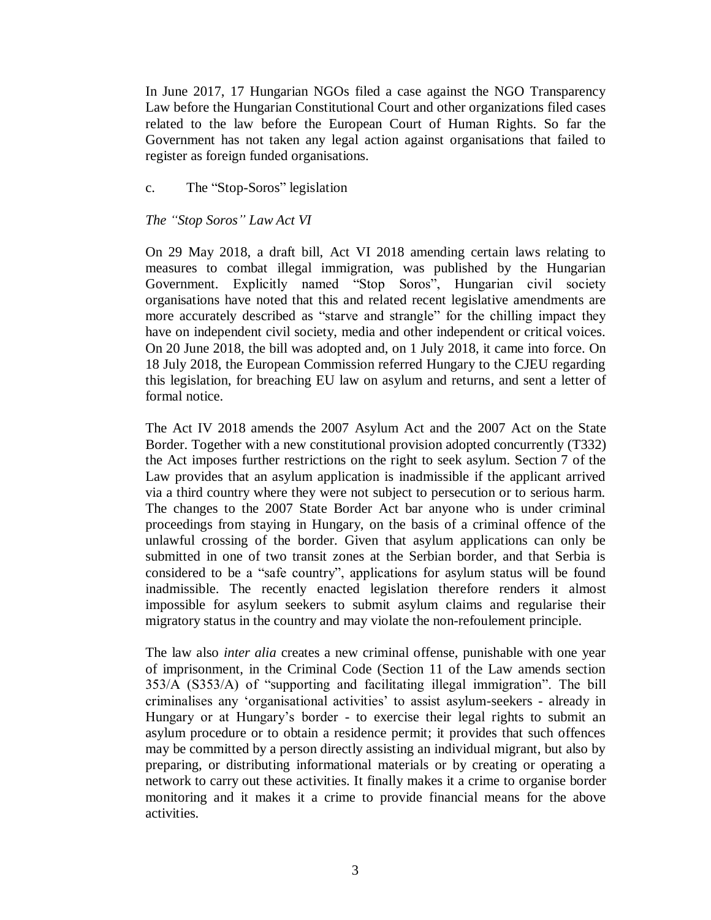In June 2017, 17 Hungarian NGOs filed a case against the NGO Transparency Law before the Hungarian Constitutional Court and other organizations filed cases related to the law before the European Court of Human Rights. So far the Government has not taken any legal action against organisations that failed to register as foreign funded organisations.

c. The "Stop-Soros" legislation

## *The "Stop Soros" Law Act VI*

On 29 May 2018, a draft bill, Act VI 2018 amending certain laws relating to measures to combat illegal immigration, was published by the Hungarian Government. Explicitly named "Stop Soros", Hungarian civil society organisations have noted that this and related recent legislative amendments are more accurately described as "starve and strangle" for the chilling impact they have on independent civil society, media and other independent or critical voices. On 20 June 2018, the bill was adopted and, on 1 July 2018, it came into force. On 18 July 2018, the European Commission referred Hungary to the CJEU regarding this legislation, for breaching EU law on asylum and returns, and sent a letter of formal notice.

The Act IV 2018 amends the 2007 Asylum Act and the 2007 Act on the State Border. Together with a new constitutional provision adopted concurrently (T332) the Act imposes further restrictions on the right to seek asylum. Section 7 of the Law provides that an asylum application is inadmissible if the applicant arrived via a third country where they were not subject to persecution or to serious harm. The changes to the 2007 State Border Act bar anyone who is under criminal proceedings from staying in Hungary, on the basis of a criminal offence of the unlawful crossing of the border. Given that asylum applications can only be submitted in one of two transit zones at the Serbian border, and that Serbia is considered to be a "safe country", applications for asylum status will be found inadmissible. The recently enacted legislation therefore renders it almost impossible for asylum seekers to submit asylum claims and regularise their migratory status in the country and may violate the non-refoulement principle.

The law also *inter alia* creates a new criminal offense, punishable with one year of imprisonment, in the Criminal Code (Section 11 of the Law amends section 353/A (S353/A) of "supporting and facilitating illegal immigration". The bill criminalises any 'organisational activities' to assist asylum-seekers - already in Hungary or at Hungary's border - to exercise their legal rights to submit an asylum procedure or to obtain a residence permit; it provides that such offences may be committed by a person directly assisting an individual migrant, but also by preparing, or distributing informational materials or by creating or operating a network to carry out these activities. It finally makes it a crime to organise border monitoring and it makes it a crime to provide financial means for the above activities.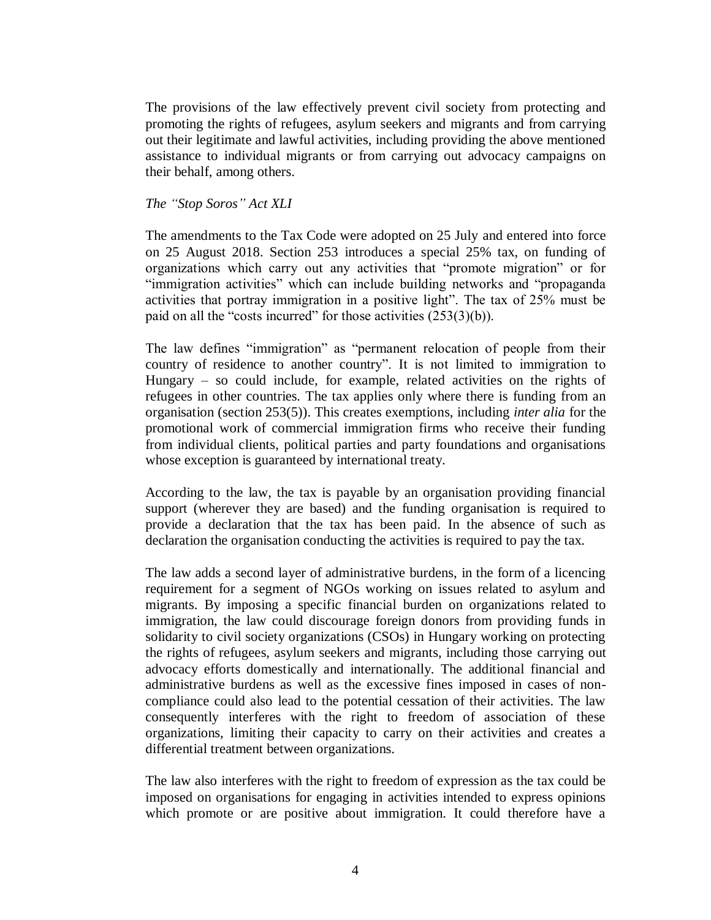The provisions of the law effectively prevent civil society from protecting and promoting the rights of refugees, asylum seekers and migrants and from carrying out their legitimate and lawful activities, including providing the above mentioned assistance to individual migrants or from carrying out advocacy campaigns on their behalf, among others.

### *The "Stop Soros" Act XLI*

The amendments to the Tax Code were adopted on 25 July and entered into force on 25 August 2018. Section 253 introduces a special 25% tax, on funding of organizations which carry out any activities that "promote migration" or for "immigration activities" which can include building networks and "propaganda activities that portray immigration in a positive light". The tax of 25% must be paid on all the "costs incurred" for those activities  $(253(3)(b))$ .

The law defines "immigration" as "permanent relocation of people from their country of residence to another country". It is not limited to immigration to Hungary – so could include, for example, related activities on the rights of refugees in other countries. The tax applies only where there is funding from an organisation (section 253(5)). This creates exemptions, including *inter alia* for the promotional work of commercial immigration firms who receive their funding from individual clients, political parties and party foundations and organisations whose exception is guaranteed by international treaty.

According to the law, the tax is payable by an organisation providing financial support (wherever they are based) and the funding organisation is required to provide a declaration that the tax has been paid. In the absence of such as declaration the organisation conducting the activities is required to pay the tax.

The law adds a second layer of administrative burdens, in the form of a licencing requirement for a segment of NGOs working on issues related to asylum and migrants. By imposing a specific financial burden on organizations related to immigration, the law could discourage foreign donors from providing funds in solidarity to civil society organizations (CSOs) in Hungary working on protecting the rights of refugees, asylum seekers and migrants, including those carrying out advocacy efforts domestically and internationally. The additional financial and administrative burdens as well as the excessive fines imposed in cases of noncompliance could also lead to the potential cessation of their activities. The law consequently interferes with the right to freedom of association of these organizations, limiting their capacity to carry on their activities and creates a differential treatment between organizations.

The law also interferes with the right to freedom of expression as the tax could be imposed on organisations for engaging in activities intended to express opinions which promote or are positive about immigration. It could therefore have a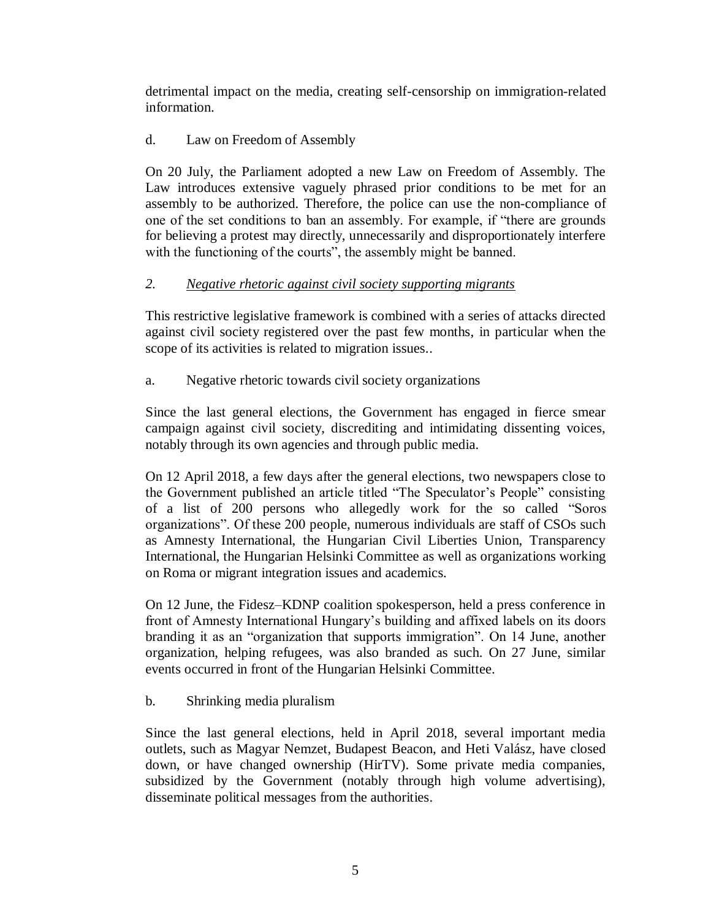detrimental impact on the media, creating self-censorship on immigration-related information.

# d. Law on Freedom of Assembly

On 20 July, the Parliament adopted a new Law on Freedom of Assembly. The Law introduces extensive vaguely phrased prior conditions to be met for an assembly to be authorized. Therefore, the police can use the non-compliance of one of the set conditions to ban an assembly. For example, if "there are grounds for believing a protest may directly, unnecessarily and disproportionately interfere with the functioning of the courts", the assembly might be banned.

# *2. Negative rhetoric against civil society supporting migrants*

This restrictive legislative framework is combined with a series of attacks directed against civil society registered over the past few months, in particular when the scope of its activities is related to migration issues..

a. Negative rhetoric towards civil society organizations

Since the last general elections, the Government has engaged in fierce smear campaign against civil society, discrediting and intimidating dissenting voices, notably through its own agencies and through public media.

On 12 April 2018, a few days after the general elections, two newspapers close to the Government published an article titled "The Speculator's People" consisting of a list of 200 persons who allegedly work for the so called "Soros organizations". Of these 200 people, numerous individuals are staff of CSOs such as Amnesty International, the Hungarian Civil Liberties Union, Transparency International, the Hungarian Helsinki Committee as well as organizations working on Roma or migrant integration issues and academics.

On 12 June, the Fidesz–KDNP coalition spokesperson, held a press conference in front of Amnesty International Hungary's building and affixed labels on its doors branding it as an "organization that supports immigration". On 14 June, another organization, helping refugees, was also branded as such. On 27 June, similar events occurred in front of the Hungarian Helsinki Committee.

b. Shrinking media pluralism

Since the last general elections, held in April 2018, several important media outlets, such as Magyar Nemzet, Budapest Beacon, and Heti Valász, have closed down, or have changed ownership (HirTV). Some private media companies, subsidized by the Government (notably through high volume advertising), disseminate political messages from the authorities.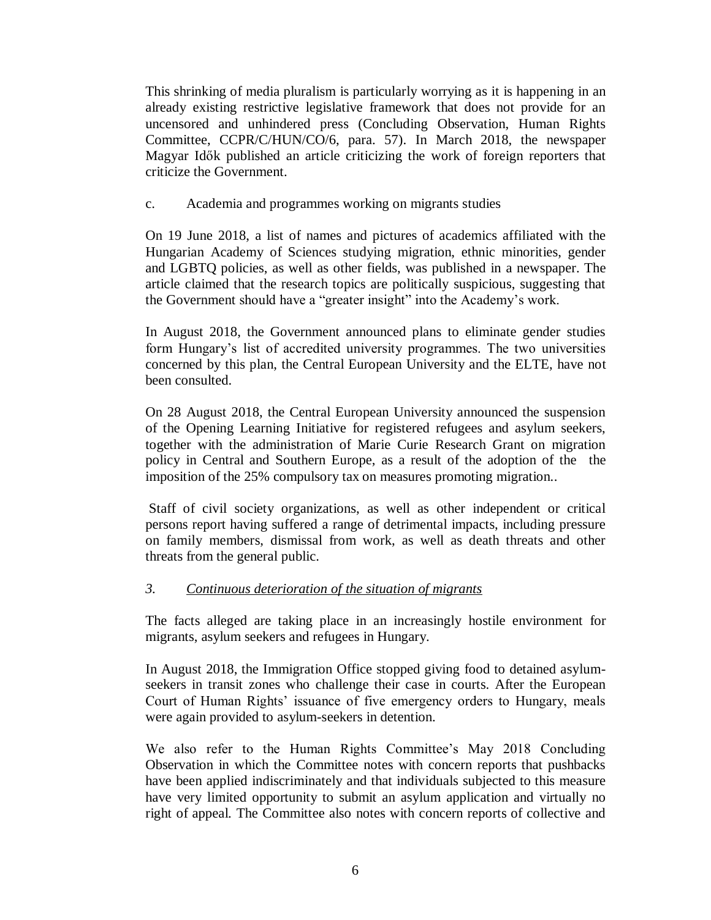This shrinking of media pluralism is particularly worrying as it is happening in an already existing restrictive legislative framework that does not provide for an uncensored and unhindered press (Concluding Observation, Human Rights Committee, CCPR/C/HUN/CO/6, para. 57). In March 2018, the newspaper Magyar Idők published an article criticizing the work of foreign reporters that criticize the Government.

c. Academia and programmes working on migrants studies

On 19 June 2018, a list of names and pictures of academics affiliated with the Hungarian Academy of Sciences studying migration, ethnic minorities, gender and LGBTQ policies, as well as other fields, was published in a newspaper. The article claimed that the research topics are politically suspicious, suggesting that the Government should have a "greater insight" into the Academy's work.

In August 2018, the Government announced plans to eliminate gender studies form Hungary's list of accredited university programmes. The two universities concerned by this plan, the Central European University and the ELTE, have not been consulted.

On 28 August 2018, the Central European University announced the suspension of the Opening Learning Initiative for registered refugees and asylum seekers, together with the administration of Marie Curie Research Grant on migration policy in Central and Southern Europe, as a result of the adoption of the the imposition of the 25% compulsory tax on measures promoting migration..

Staff of civil society organizations, as well as other independent or critical persons report having suffered a range of detrimental impacts, including pressure on family members, dismissal from work, as well as death threats and other threats from the general public.

# *3. Continuous deterioration of the situation of migrants*

The facts alleged are taking place in an increasingly hostile environment for migrants, asylum seekers and refugees in Hungary.

In August 2018, the Immigration Office stopped giving food to detained asylumseekers in transit zones who challenge their case in courts. After the European Court of Human Rights' issuance of five emergency orders to Hungary, meals were again provided to asylum-seekers in detention.

We also refer to the Human Rights Committee's May 2018 Concluding Observation in which the Committee notes with concern reports that pushbacks have been applied indiscriminately and that individuals subjected to this measure have very limited opportunity to submit an asylum application and virtually no right of appeal. The Committee also notes with concern reports of collective and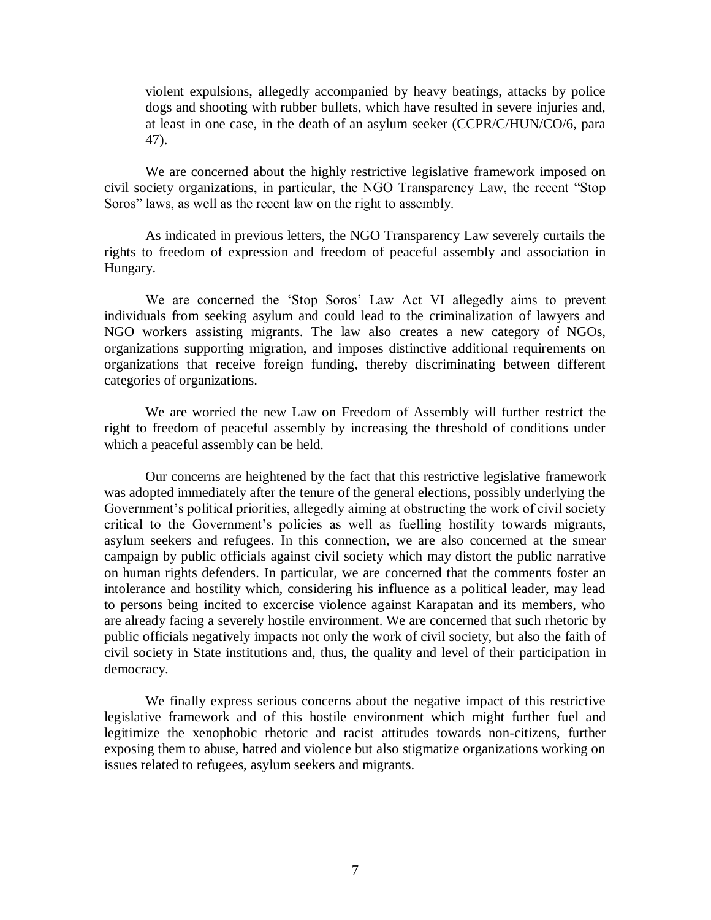violent expulsions, allegedly accompanied by heavy beatings, attacks by police dogs and shooting with rubber bullets, which have resulted in severe injuries and, at least in one case, in the death of an asylum seeker (CCPR/C/HUN/CO/6, para 47).

We are concerned about the highly restrictive legislative framework imposed on civil society organizations, in particular, the NGO Transparency Law, the recent "Stop Soros" laws, as well as the recent law on the right to assembly.

As indicated in previous letters, the NGO Transparency Law severely curtails the rights to freedom of expression and freedom of peaceful assembly and association in Hungary.

We are concerned the 'Stop Soros' Law Act VI allegedly aims to prevent individuals from seeking asylum and could lead to the criminalization of lawyers and NGO workers assisting migrants. The law also creates a new category of NGOs, organizations supporting migration, and imposes distinctive additional requirements on organizations that receive foreign funding, thereby discriminating between different categories of organizations.

We are worried the new Law on Freedom of Assembly will further restrict the right to freedom of peaceful assembly by increasing the threshold of conditions under which a peaceful assembly can be held.

Our concerns are heightened by the fact that this restrictive legislative framework was adopted immediately after the tenure of the general elections, possibly underlying the Government's political priorities, allegedly aiming at obstructing the work of civil society critical to the Government's policies as well as fuelling hostility towards migrants, asylum seekers and refugees. In this connection, we are also concerned at the smear campaign by public officials against civil society which may distort the public narrative on human rights defenders. In particular, we are concerned that the comments foster an intolerance and hostility which, considering his influence as a political leader, may lead to persons being incited to excercise violence against Karapatan and its members, who are already facing a severely hostile environment. We are concerned that such rhetoric by public officials negatively impacts not only the work of civil society, but also the faith of civil society in State institutions and, thus, the quality and level of their participation in democracy.

We finally express serious concerns about the negative impact of this restrictive legislative framework and of this hostile environment which might further fuel and legitimize the xenophobic rhetoric and racist attitudes towards non-citizens, further exposing them to abuse, hatred and violence but also stigmatize organizations working on issues related to refugees, asylum seekers and migrants.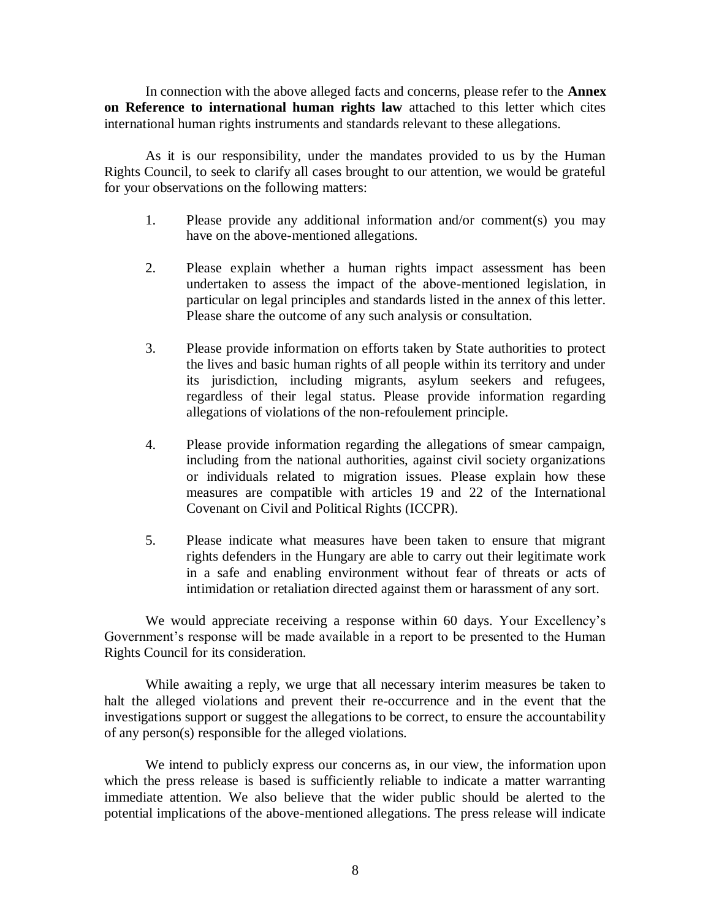In connection with the above alleged facts and concerns, please refer to the **Annex on Reference to international human rights law** attached to this letter which cites international human rights instruments and standards relevant to these allegations.

As it is our responsibility, under the mandates provided to us by the Human Rights Council, to seek to clarify all cases brought to our attention, we would be grateful for your observations on the following matters:

- 1. Please provide any additional information and/or comment(s) you may have on the above-mentioned allegations.
- 2. Please explain whether a human rights impact assessment has been undertaken to assess the impact of the above-mentioned legislation, in particular on legal principles and standards listed in the annex of this letter. Please share the outcome of any such analysis or consultation.
- 3. Please provide information on efforts taken by State authorities to protect the lives and basic human rights of all people within its territory and under its jurisdiction, including migrants, asylum seekers and refugees, regardless of their legal status. Please provide information regarding allegations of violations of the non-refoulement principle.
- 4. Please provide information regarding the allegations of smear campaign, including from the national authorities, against civil society organizations or individuals related to migration issues. Please explain how these measures are compatible with articles 19 and 22 of the International Covenant on Civil and Political Rights (ICCPR).
- 5. Please indicate what measures have been taken to ensure that migrant rights defenders in the Hungary are able to carry out their legitimate work in a safe and enabling environment without fear of threats or acts of intimidation or retaliation directed against them or harassment of any sort.

We would appreciate receiving a response within 60 days. Your Excellency's Government's response will be made available in a report to be presented to the Human Rights Council for its consideration.

While awaiting a reply, we urge that all necessary interim measures be taken to halt the alleged violations and prevent their re-occurrence and in the event that the investigations support or suggest the allegations to be correct, to ensure the accountability of any person(s) responsible for the alleged violations.

We intend to publicly express our concerns as, in our view, the information upon which the press release is based is sufficiently reliable to indicate a matter warranting immediate attention. We also believe that the wider public should be alerted to the potential implications of the above-mentioned allegations. The press release will indicate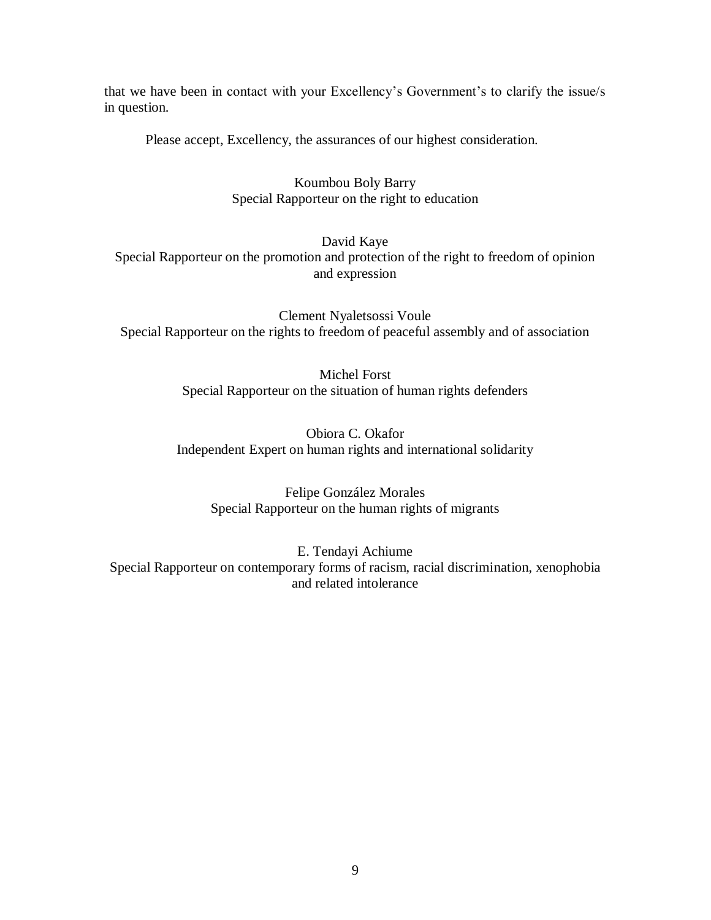that we have been in contact with your Excellency's Government's to clarify the issue/s in question.

Please accept, Excellency, the assurances of our highest consideration.

Koumbou Boly Barry Special Rapporteur on the right to education

David Kaye

Special Rapporteur on the promotion and protection of the right to freedom of opinion and expression

Clement Nyaletsossi Voule Special Rapporteur on the rights to freedom of peaceful assembly and of association

> Michel Forst Special Rapporteur on the situation of human rights defenders

Obiora C. Okafor Independent Expert on human rights and international solidarity

Felipe González Morales Special Rapporteur on the human rights of migrants

E. Tendayi Achiume Special Rapporteur on contemporary forms of racism, racial discrimination, xenophobia and related intolerance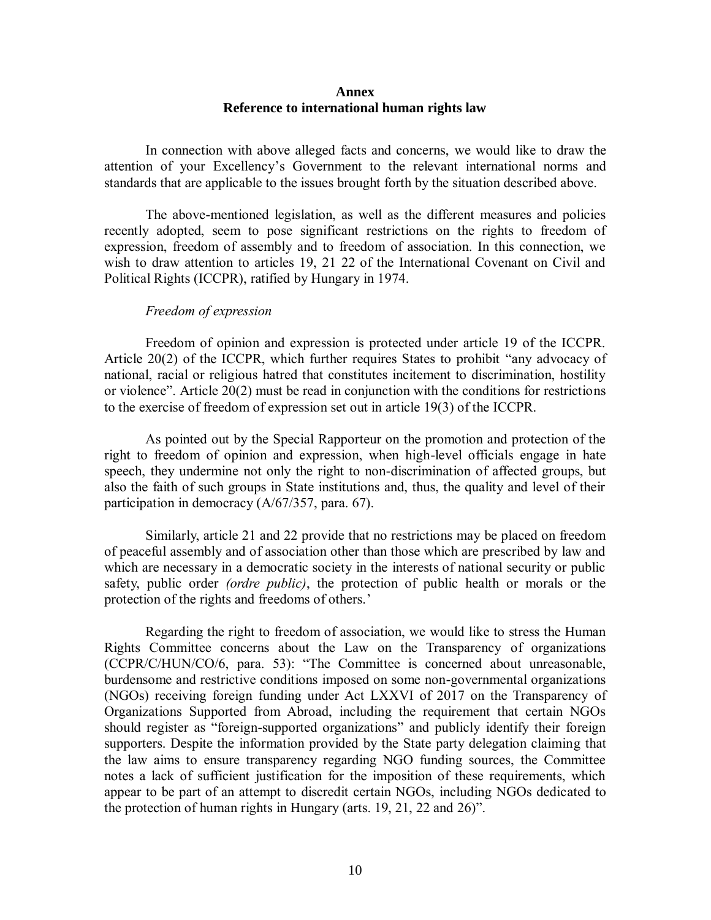### **Annex Reference to international human rights law**

In connection with above alleged facts and concerns, we would like to draw the attention of your Excellency's Government to the relevant international norms and standards that are applicable to the issues brought forth by the situation described above.

The above-mentioned legislation, as well as the different measures and policies recently adopted, seem to pose significant restrictions on the rights to freedom of expression, freedom of assembly and to freedom of association. In this connection, we wish to draw attention to articles 19, 21 22 of the International Covenant on Civil and Political Rights (ICCPR), ratified by Hungary in 1974.

### *Freedom of expression*

Freedom of opinion and expression is protected under article 19 of the ICCPR. Article 20(2) of the ICCPR, which further requires States to prohibit "any advocacy of national, racial or religious hatred that constitutes incitement to discrimination, hostility or violence". Article 20(2) must be read in conjunction with the conditions for restrictions to the exercise of freedom of expression set out in article 19(3) of the ICCPR.

As pointed out by the Special Rapporteur on the promotion and protection of the right to freedom of opinion and expression, when high-level officials engage in hate speech, they undermine not only the right to non-discrimination of affected groups, but also the faith of such groups in State institutions and, thus, the quality and level of their participation in democracy (A/67/357, para. 67).

Similarly, article 21 and 22 provide that no restrictions may be placed on freedom of peaceful assembly and of association other than those which are prescribed by law and which are necessary in a democratic society in the interests of national security or public safety, public order *(ordre public)*, the protection of public health or morals or the protection of the rights and freedoms of others.'

Regarding the right to freedom of association, we would like to stress the Human Rights Committee concerns about the Law on the Transparency of organizations (CCPR/C/HUN/CO/6, para. 53): "The Committee is concerned about unreasonable, burdensome and restrictive conditions imposed on some non-governmental organizations (NGOs) receiving foreign funding under Act LXXVI of 2017 on the Transparency of Organizations Supported from Abroad, including the requirement that certain NGOs should register as "foreign-supported organizations" and publicly identify their foreign supporters. Despite the information provided by the State party delegation claiming that the law aims to ensure transparency regarding NGO funding sources, the Committee notes a lack of sufficient justification for the imposition of these requirements, which appear to be part of an attempt to discredit certain NGOs, including NGOs dedicated to the protection of human rights in Hungary (arts. 19, 21, 22 and 26)".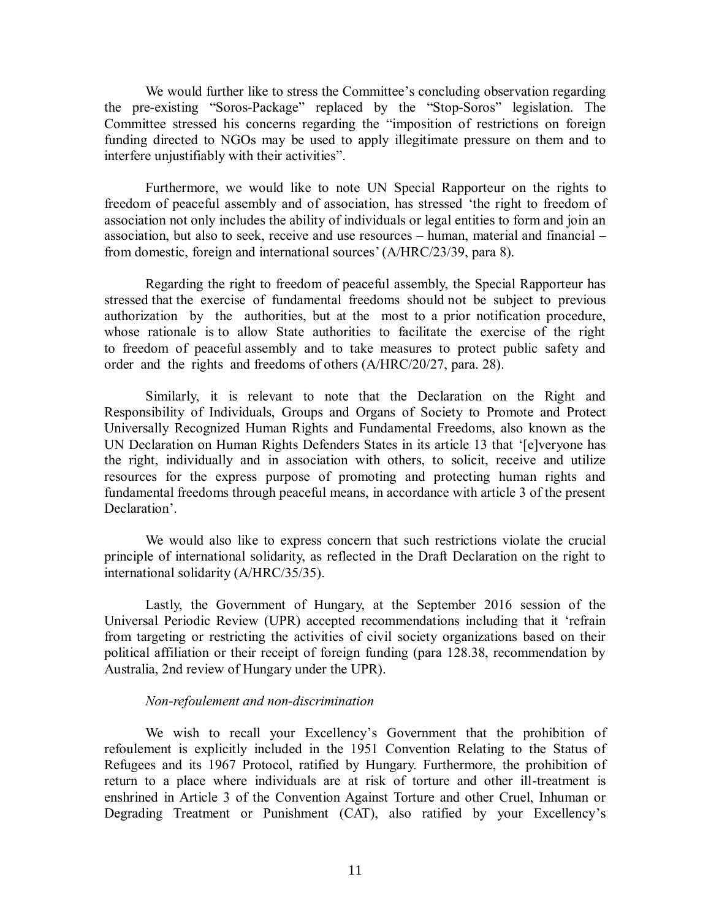We would further like to stress the Committee's concluding observation regarding the pre-existing "Soros-Package" replaced by the "Stop-Soros" legislation. The Committee stressed his concerns regarding the "imposition of restrictions on foreign funding directed to NGOs may be used to apply illegitimate pressure on them and to interfere unjustifiably with their activities".

Furthermore, we would like to note UN Special Rapporteur on the rights to freedom of peaceful assembly and of association, has stressed 'the right to freedom of association not only includes the ability of individuals or legal entities to form and join an association, but also to seek, receive and use resources – human, material and financial – from domestic, foreign and international sources' (A/HRC/23/39, para 8).

Regarding the right to freedom of peaceful assembly, the Special Rapporteur has stressed that the exercise of fundamental freedoms should not be subject to previous authorization by the authorities, but at the most to a prior notification procedure, whose rationale is to allow State authorities to facilitate the exercise of the right to freedom of peaceful assembly and to take measures to protect public safety and order and the rights and freedoms of others (A/HRC/20/27, para. 28).

Similarly, it is relevant to note that the Declaration on the Right and Responsibility of Individuals, Groups and Organs of Society to Promote and Protect Universally Recognized Human Rights and Fundamental Freedoms, also known as the UN Declaration on Human Rights Defenders States in its article 13 that '[e]veryone has the right, individually and in association with others, to solicit, receive and utilize resources for the express purpose of promoting and protecting human rights and fundamental freedoms through peaceful means, in accordance with article 3 of the present Declaration'.

We would also like to express concern that such restrictions violate the crucial principle of international solidarity, as reflected in the Draft Declaration on the right to international solidarity (A/HRC/35/35).

Lastly, the Government of Hungary, at the September 2016 session of the Universal Periodic Review (UPR) accepted recommendations including that it 'refrain from targeting or restricting the activities of civil society organizations based on their political affiliation or their receipt of foreign funding (para 128.38, recommendation by Australia, 2nd review of Hungary under the UPR).

### *Non-refoulement and non-discrimination*

We wish to recall your Excellency's Government that the prohibition of refoulement is explicitly included in the 1951 Convention Relating to the Status of Refugees and its 1967 Protocol, ratified by Hungary. Furthermore, the prohibition of return to a place where individuals are at risk of torture and other ill-treatment is enshrined in Article 3 of the Convention Against Torture and other Cruel, Inhuman or Degrading Treatment or Punishment (CAT), also ratified by your Excellency's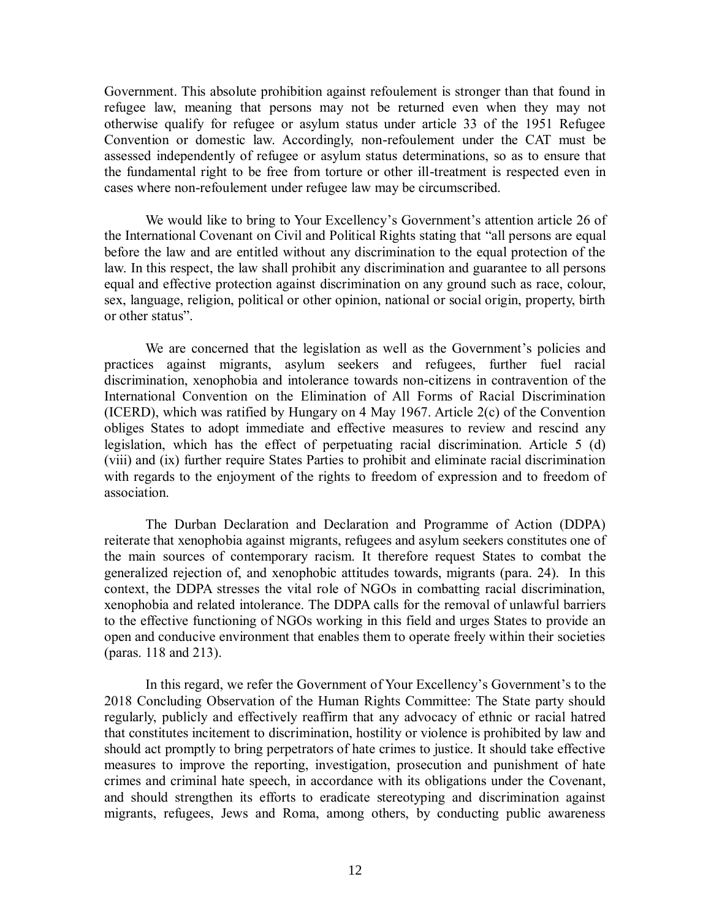Government. This absolute prohibition against refoulement is stronger than that found in refugee law, meaning that persons may not be returned even when they may not otherwise qualify for refugee or asylum status under article 33 of the 1951 Refugee Convention or domestic law. Accordingly, non-refoulement under the CAT must be assessed independently of refugee or asylum status determinations, so as to ensure that the fundamental right to be free from torture or other ill-treatment is respected even in cases where non-refoulement under refugee law may be circumscribed.

We would like to bring to Your Excellency's Government's attention article 26 of the International Covenant on Civil and Political Rights stating that "all persons are equal before the law and are entitled without any discrimination to the equal protection of the law. In this respect, the law shall prohibit any discrimination and guarantee to all persons equal and effective protection against discrimination on any ground such as race, colour, sex, language, religion, political or other opinion, national or social origin, property, birth or other status".

We are concerned that the legislation as well as the Government's policies and practices against migrants, asylum seekers and refugees, further fuel racial discrimination, xenophobia and intolerance towards non-citizens in contravention of the International Convention on the Elimination of All Forms of Racial Discrimination (ICERD), which was ratified by Hungary on 4 May 1967. Article 2(c) of the Convention obliges States to adopt immediate and effective measures to review and rescind any legislation, which has the effect of perpetuating racial discrimination. Article 5 (d) (viii) and (ix) further require States Parties to prohibit and eliminate racial discrimination with regards to the enjoyment of the rights to freedom of expression and to freedom of association.

The Durban Declaration and Declaration and Programme of Action (DDPA) reiterate that xenophobia against migrants, refugees and asylum seekers constitutes one of the main sources of contemporary racism. It therefore request States to combat the generalized rejection of, and xenophobic attitudes towards, migrants (para. 24). In this context, the DDPA stresses the vital role of NGOs in combatting racial discrimination, xenophobia and related intolerance. The DDPA calls for the removal of unlawful barriers to the effective functioning of NGOs working in this field and urges States to provide an open and conducive environment that enables them to operate freely within their societies (paras. 118 and 213).

In this regard, we refer the Government of Your Excellency's Government's to the 2018 Concluding Observation of the Human Rights Committee: The State party should regularly, publicly and effectively reaffirm that any advocacy of ethnic or racial hatred that constitutes incitement to discrimination, hostility or violence is prohibited by law and should act promptly to bring perpetrators of hate crimes to justice. It should take effective measures to improve the reporting, investigation, prosecution and punishment of hate crimes and criminal hate speech, in accordance with its obligations under the Covenant, and should strengthen its efforts to eradicate stereotyping and discrimination against migrants, refugees, Jews and Roma, among others, by conducting public awareness